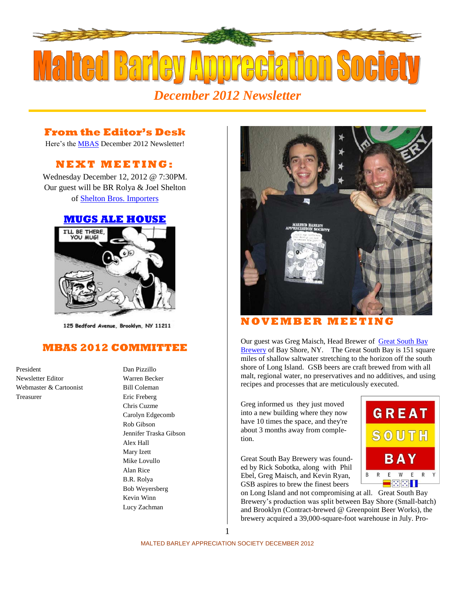

## **From the Editor's Desk**

Here's the [MBAS](http://hbd.org/mbas) December 2012 Newsletter!

# **N E X T M E ETI N G :**

Wednesday December 12, 2012 @ 7:30PM. Our guest will be BR Rolya & Joel Shelton of [Shelton Bros. Importers](http://www.sheltonbrothers.com/)

#### **[MUGS ALE HOUSE](http://www.mugsalehouse.com/)**



125 Bedford Avenue, Brooklyn, NY 11211

## **MBAS 2012 COMMITTEE**

President Dan Pizzillo Newsletter Editor Warren Becker Webmaster & Cartoonist Bill Coleman Treasurer Eric Freberg

# Chris Cuzme Carolyn Edgecomb Rob Gibson Jennifer Traska Gibson Alex Hall Mary Izett Mike Lovullo Alan Rice B.R. Rolya Bob Weyersberg Kevin Winn Lucy Zachman



### **N O V E MB E R M E E T I N G**

Our guest was Greg Maisch, Head Brewer of Great South Bay [Brewery](http://greatsouthbaybrewery.com/) of Bay Shore, NY. The Great South Bay is 151 square miles of shallow saltwater stretching to the horizon off the south shore of Long Island. GSB beers are craft brewed from with all malt, regional water, no preservatives and no additives, and using recipes and processes that are meticulously executed.

Greg informed us they just moved into a new building where they now have 10 times the space, and they're about 3 months away from completion.

Great South Bay Brewery was founded by Rick Sobotka, along with Phil Ebel, Greg Maisch, and Kevin Ryan, GSB aspires to brew the finest beers

on Long Island and not compromising at all. Great South Bay Brewery's production was split between Bay Shore (Small-batch) and Brooklyn (Contract-brewed @ Greenpoint Beer Works), the brewery acquired a 39,000-square-foot warehouse in July. Pro-



1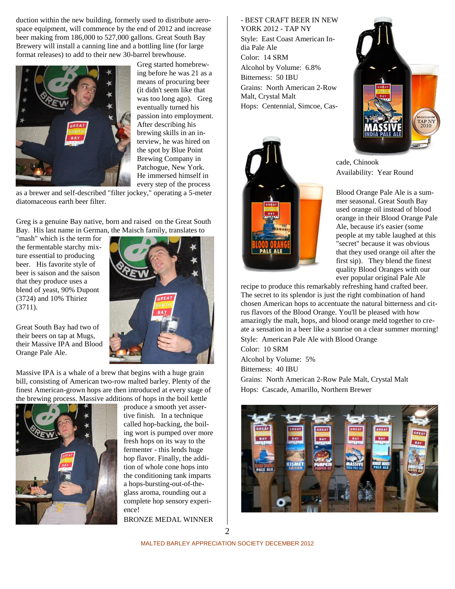duction within the new building, formerly used to distribute aerospace equipment, will commence by the end of 2012 and increase beer making from 186,000 to 527,000 gallons. Great South Bay Brewery will install a canning line and a bottling line (for large format releases) to add to their new 30-barrel brewhouse.



Greg started homebrewing before he was 21 as a means of procuring beer (it didn't seem like that was too long ago). Greg eventually turned his passion into employment. After describing his brewing skills in an interview, he was hired on the spot by Blue Point Brewing Company in Patchogue, New York. He immersed himself in every step of the process

as a brewer and self-described "filter jockey," operating a 5-meter diatomaceous earth beer filter.

Greg is a genuine Bay native, born and raised on the Great South Bay. His last name in German, the Maisch family, translates to

"mash" which is the term for the fermentable starchy mixture essential to producing beer. His favorite style of beer is saison and the saison that they produce uses a blend of yeast, 90% Dupont (3724) and 10% Thiriez (3711).

Great South Bay had two of their beers on tap at Mugs, their Massive IPA and Blood Orange Pale Ale.

Massive IPA is a whale of a brew that begins with a huge grain bill, consisting of American two-row malted barley. Plenty of the finest American-grown hops are then introduced at every stage of the brewing process. Massive additions of hops in the boil kettle



produce a smooth yet assertive finish. In a technique called hop-backing, the boiling wort is pumped over more fresh hops on its way to the fermenter - this lends huge hop flavor. Finally, the addition of whole cone hops into the conditioning tank imparts a hops-bursting-out-of-theglass aroma, rounding out a complete hop sensory experience!

BRONZE MEDAL WINNER

- BEST CRAFT BEER IN NEW YORK 2012 - TAP NY Style: East Coast American India Pale Ale Color: 14 SRM Alcohol by Volume: 6.8% Bitterness: 50 IBU Grains: North American 2-Row Malt, Crystal Malt Hops: Centennial, Simcoe, Cas-





cade, Chinook Availability: Year Round

Blood Orange Pale Ale is a summer seasonal. Great South Bay used orange oil instead of blood orange in their Blood Orange Pale Ale, because it's easier (some people at my table laughed at this "secret" because it was obvious that they used orange oil after the first sip). They blend the finest quality Blood Oranges with our ever popular original Pale Ale

recipe to produce this remarkably refreshing hand crafted beer. The secret to its splendor is just the right combination of hand chosen American hops to accentuate the natural bitterness and citrus flavors of the Blood Orange. You'll be pleased with how amazingly the malt, hops, and blood orange meld together to create a sensation in a beer like a sunrise on a clear summer morning! Style: American Pale Ale with Blood Orange

Color: 10 SRM Alcohol by Volume: 5% Bitterness: 40 IBU

Grains: North American 2-Row Pale Malt, Crystal Malt Hops: Cascade, Amarillo, Northern Brewer